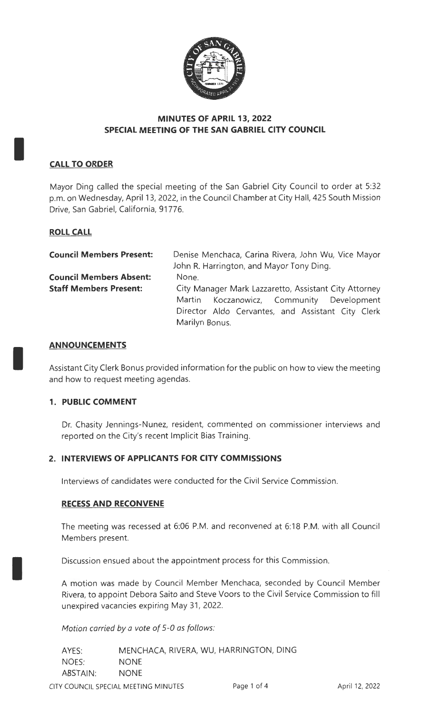

# **MINUTES OF APRIL 13, 2022 SPECIAL MEETING OF THE SAN GABRIEL CITY COUNCIL**

# **CALL TO ORDER**

I

I

I

Mayor Ding called the special meeting of the San Gabriel City Council to order at 5:32 p.m. on Wednesday, April 13, 2022, in the Council Chamber at City Hall, 425 South Mission Drive, San Gabriel, California, 91776.

# **ROLL CALL**

| <b>Council Members Present:</b> | Denise Menchaca, Carina Rivera, John Wu, Vice Mayor   |  |  |
|---------------------------------|-------------------------------------------------------|--|--|
|                                 | John R. Harrington, and Mayor Tony Ding.              |  |  |
| <b>Council Members Absent:</b>  | None.                                                 |  |  |
| <b>Staff Members Present:</b>   | City Manager Mark Lazzaretto, Assistant City Attorney |  |  |
|                                 | Martin Koczanowicz, Community Development             |  |  |
|                                 | Director Aldo Cervantes, and Assistant City Clerk     |  |  |
|                                 | Marilyn Bonus.                                        |  |  |

#### **ANNOUNCEMENTS**

Assistant City Clerk Bonus provided information for the public on how to view the meeting and how to request meeting agendas.

#### **1. PUBLIC COMMENT**

Dr. Chasity Jennings-Nunez, resident, commented on commissioner interviews and reported on the City's recent Implicit Bias Training.

# **2. INTERVIEWS OF APPLICANTS FOR CITY COMMISSIONS**

Interviews of candidates were conducted for the Civil Service Commission.

# **RECESS AND RECONVENE**

The meeting was recessed at 6:06 P.M. and reconvened at 6:18 P.M. with all Council Members present.

Discussion ensued about the appointment process for this Commission.

A motion was made by Council Member Menchaca, seconded by Council Member Rivera, to appoint Debora Saito and Steve Voors to the Civil Service Commission to fill unexpired vacancies expiring May 31, 2022.

Motion carried *by* a vote of 5-0 as follows:

| AYES:    | MENCHACA, RIVERA, WU, HARRINGTON, DING |
|----------|----------------------------------------|
| NOES:    | <b>NONE</b>                            |
| ABSTAIN: | <b>NONE</b>                            |

CITY COUNCIL SPECIAL MEETING MINUTES Page 1 of 4 April 12, 2022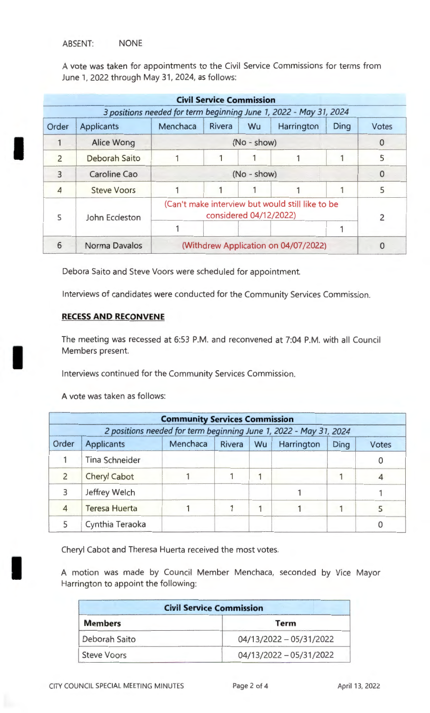#### ABSENT: NONE

I

I

I

A vote was taken for appointments to the Civil Service Commissions for terms from June 1, 2022 through May 31, 2024, as follows:

|                          |                    |                                                                            | <b>Civil Service Commission</b> |               |                                                                   |      |       |
|--------------------------|--------------------|----------------------------------------------------------------------------|---------------------------------|---------------|-------------------------------------------------------------------|------|-------|
|                          |                    |                                                                            |                                 |               | 3 positions needed for term beginning June 1, 2022 - May 31, 2024 |      |       |
| Order                    | <b>Applicants</b>  | Menchaca                                                                   | <b>Rivera</b>                   | Wu            | Harrington                                                        | Ding | Votes |
|                          | Alice Wong         |                                                                            |                                 | $(No - show)$ |                                                                   |      | 0     |
| $\overline{\phantom{0}}$ | Deborah Saito      |                                                                            |                                 |               |                                                                   |      | 5     |
|                          | Caroline Cao       | $(No - show)$                                                              |                                 | 0             |                                                                   |      |       |
| $\overline{4}$           | <b>Steve Voors</b> |                                                                            |                                 |               |                                                                   |      | 5     |
| 5                        | John Eccleston     | (Can't make interview but would still like to be<br>considered 04/12/2022) |                                 |               |                                                                   |      |       |
|                          |                    |                                                                            |                                 |               |                                                                   |      |       |
| 6                        | Norma Davalos      | (Withdrew Application on 04/07/2022)                                       |                                 |               |                                                                   |      |       |

Debora Saito and Steve Voors were scheduled for appointment.

Interviews of candidates were conducted for the Community Services Commission.

#### **RECESS AND RECONVENE**

The meeting was recessed at 6:53 P.M. and reconvened at 7:04 P.M. with all Council Members present.

Interviews continued for the Community Services Commission.

A vote was taken as follows:

|                | <b>Community Services Commission</b> |                                                                   |        |    |            |      |       |
|----------------|--------------------------------------|-------------------------------------------------------------------|--------|----|------------|------|-------|
|                |                                      | 2 positions needed for term beginning June 1, 2022 - May 31, 2024 |        |    |            |      |       |
| Order          | <b>Applicants</b>                    | Menchaca                                                          | Rivera | Wu | Harrington | Ding | Votes |
|                | <b>Tina Schneider</b>                |                                                                   |        |    |            |      |       |
| $\overline{2}$ | <b>Cheryl Cabot</b>                  |                                                                   |        |    |            |      |       |
| 3              | Jeffrey Welch                        |                                                                   |        |    |            |      |       |
|                | <b>Teresa Huerta</b>                 |                                                                   |        |    |            |      |       |
|                | Cynthia Teraoka                      |                                                                   |        |    |            |      |       |

Cheryl Cabot and Theresa Huerta received the most votes.

A motion was made by Council Member Menchaca, seconded by Vice Mayor Harrington to appoint the following:

| <b>Civil Service Commission</b> |                           |  |
|---------------------------------|---------------------------|--|
| <b>Members</b>                  | <b>Term</b>               |  |
| Deborah Saito                   | $04/13/2022 - 05/31/2022$ |  |
| <b>Steve Voors</b>              | $04/13/2022 - 05/31/2022$ |  |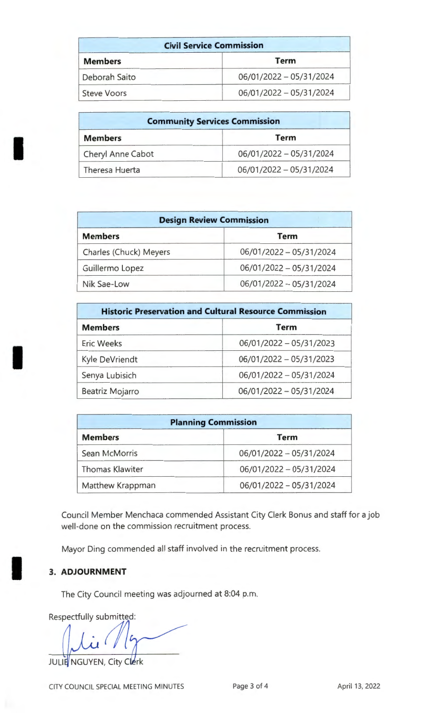| <b>Civil Service Commission</b> |                         |
|---------------------------------|-------------------------|
| <b>Members</b>                  | <b>Term</b>             |
| Deborah Saito                   | 06/01/2022 - 05/31/2024 |
| <b>Steve Voors</b>              | 06/01/2022 - 05/31/2024 |

| <b>Community Services Commission</b> |                         |  |
|--------------------------------------|-------------------------|--|
| <b>Members</b>                       | <b>Term</b>             |  |
| Cheryl Anne Cabot                    | 06/01/2022 - 05/31/2024 |  |
| Theresa Huerta                       | 06/01/2022 - 05/31/2024 |  |

| <b>Design Review Commission</b> |                         |  |
|---------------------------------|-------------------------|--|
| <b>Members</b>                  | <b>Term</b>             |  |
| Charles (Chuck) Meyers          | 06/01/2022 - 05/31/2024 |  |
| Guillermo Lopez                 | 06/01/2022 - 05/31/2024 |  |
| Nik Sae-Low                     | 06/01/2022 - 05/31/2024 |  |

| <b>Historic Preservation and Cultural Resource Commission</b> |                         |  |
|---------------------------------------------------------------|-------------------------|--|
| <b>Members</b>                                                | <b>Term</b>             |  |
| <b>Eric Weeks</b>                                             | 06/01/2022 - 05/31/2023 |  |
| Kyle DeVriendt                                                | 06/01/2022 - 05/31/2023 |  |
| Senya Lubisich                                                | 06/01/2022 - 05/31/2024 |  |
| Beatriz Mojarro                                               | 06/01/2022 - 05/31/2024 |  |

| <b>Planning Commission</b> |                         |  |
|----------------------------|-------------------------|--|
| <b>Members</b>             | <b>Term</b>             |  |
| Sean McMorris              | 06/01/2022 - 05/31/2024 |  |
| <b>Thomas Klawiter</b>     | 06/01/2022 - 05/31/2024 |  |
| Matthew Krappman           | 06/01/2022 - 05/31/2024 |  |

Council Member Menchaca commended Assistant City Clerk Bonus and staff for a job well-done on the commission recruitment process.

Mayor Ding commended all staff involved in the recruitment process.

# **3. ADJOURNMENT**

I

I

I

The City Council meeting was adjourned at 8:04 p.m.

Respectfully submitted:

JULIE NGUYEN, City Clerk